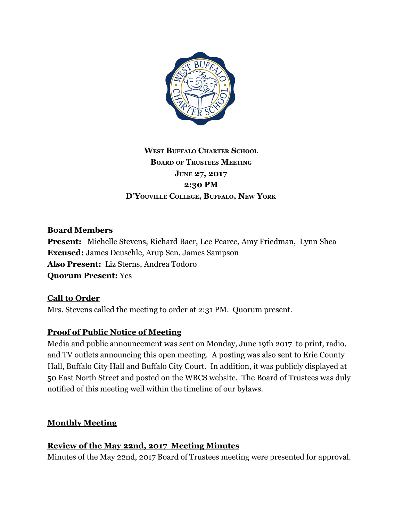

# **WEST BUFFALO CHARTER SCHOOL BOARD OF TRUSTEES MEETING JUNE 27, 2017 2:30 PM D'YOUVILLE COLLEGE, BUFFALO, NEW YORK**

# **Board Members**

**Present:** Michelle Stevens, Richard Baer, Lee Pearce, Amy Friedman, Lynn Shea **Excused:** James Deuschle, Arup Sen, James Sampson **Also Present:** Liz Sterns, Andrea Todoro **Quorum Present:** Yes

# **Call to Order**

Mrs. Stevens called the meeting to order at 2:31 PM. Quorum present.

# **Proof of Public Notice of Meeting**

Media and public announcement was sent on Monday, June 19th 2017 to print, radio, and TV outlets announcing this open meeting. A posting was also sent to Erie County Hall, Buffalo City Hall and Buffalo City Court. In addition, it was publicly displayed at 50 East North Street and posted on the WBCS website. The Board of Trustees was duly notified of this meeting well within the timeline of our bylaws.

# **Monthly Meeting**

# **Review of the May 22nd, 2017 Meeting Minutes**

Minutes of the May 22nd, 2017 Board of Trustees meeting were presented for approval.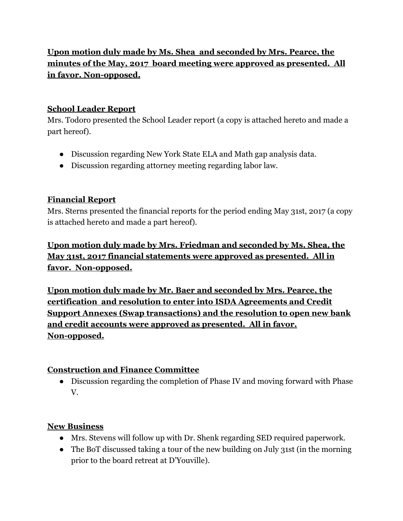# **Upon motion duly made by Ms. Shea and seconded by Mrs. Pearce, the minutes of the May, 2017 board meeting were approved as presented. All in favor. Non-opposed.**

# **School Leader Report**

Mrs. Todoro presented the School Leader report (a copy is attached hereto and made a part hereof).

- Discussion regarding New York State ELA and Math gap analysis data.
- Discussion regarding attorney meeting regarding labor law.

# **Financial Report**

Mrs. Sterns presented the financial reports for the period ending May 31st, 2017 (a copy is attached hereto and made a part hereof).

**Upon motion duly made by Mrs. Friedman and seconded by Ms. Shea, the May 31st, 2017 financial statements were approved as presented. All in favor. Non-opposed.**

**Upon motion duly made by Mr. Baer and seconded by Mrs. Pearce, the certification and resolution to enter into ISDA Agreements and Credit Support Annexes (Swap transactions) and the resolution to open new bank and credit accounts were approved as presented. All in favor. Non-opposed.**

# **Construction and Finance Committee**

● Discussion regarding the completion of Phase IV and moving forward with Phase V.

# **New Business**

- Mrs. Stevens will follow up with Dr. Shenk regarding SED required paperwork.
- The BoT discussed taking a tour of the new building on July 31st (in the morning prior to the board retreat at D'Youville).